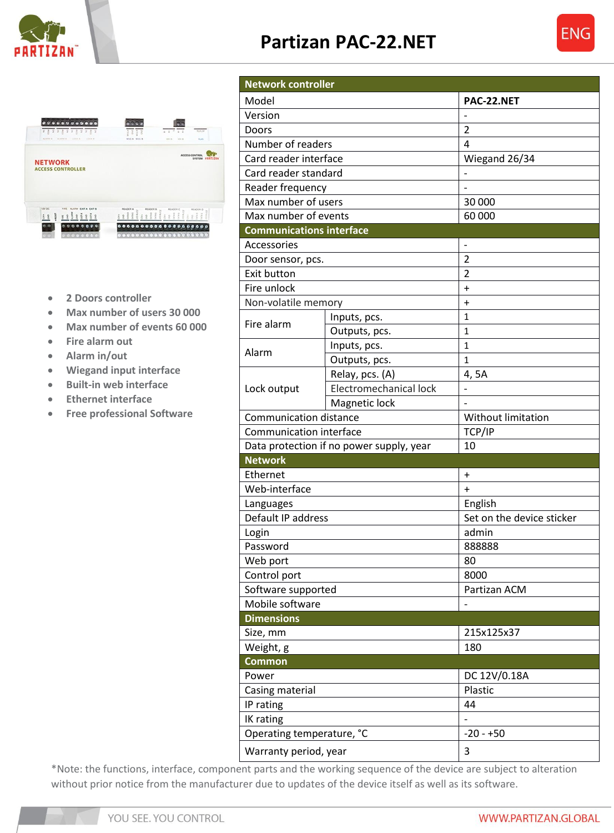

## **Partizan PAC-22.NET**





- **2 Doors controller**
- **Max number of users 30 000**
- **Max number of events 60 000**
- **Fire alarm out**
- **Alarm in/out**
- **Wiegand input interface**
- **Built-in web interface**
- **Ethernet interface**
- **Free professional Software**

**Network controller** Model **PAC-22.NET** Version and the set of the set of the set of the set of the set of the set of the set of the set of the set of the set of the set of the set of the set of the set of the set of the set of the set of the set of the set of t Doors 2012 | 2 Number of readers 14 Card reader interface Wiegand 26/34 Card reader standard and the standard of the standard of the standard standard standard standard standard standard standard standard standard standard standard standard standard standard standard standard standard standard Reader frequency and the set of the set of the set of the set of the set of the set of the set of the set of the set of the set of the set of the set of the set of the set of the set of the set of the set of the set of the Max number of users 30 000 Max number of events and the control of 60 000 **Communications interface** Accessories and the set of the set of the set of the set of the set of the set of the set of the set of the set of the set of the set of the set of the set of the set of the set of the set of the set of the set of the set Door sensor, pcs. Exit button 2 Fire unlock the set of  $\overline{a}$  + Non-volatile memory  $| +$ Fire alarm  $\frac{$ Inputs, pcs.  $\frac{1}{2}$ Outputs, pcs. 1 Alarm 1<br>
<u>Outputs, pcs.</u> 1<br>
1 Outputs, pcs. 1 Lock output Relay, pcs.  $(A)$  4, 5A Electromechanical lock |-[Magnetic](http://www.magneticlocks.net/products.asp?cat=Magnetic+Locks) lock Communication distance View Vithout limitation Communication interface TCP/IP Data protection if no power supply, year  $10$ **Network** Ethernet and the state of the state of  $\vert + \vert$ Web-interface  $\qquad \qquad +$ Languages **English** Default IP address Set on the device sticker Login admin administration of the state of the state of the state of the state of the state of the state of the state of the state of the state of the state of the state of the state of the state of the state of the state Password 888888 Web port 30 Control port 8000 Software supported **Partizan ACM** Mobile software  $\vert$  -**Dimensions** Size, mm 215x125x37 Weight, g 180 **Common** Power DC 12V/0.18A Casing material and a planet plastic plastic IP rating 44 IK rating  $\vert$  -Operating temperature, °C | -20 - +50 Warranty period, year **3** 

\*Note: the functions, interface, component parts and the working sequence of the device are subject to alteration without prior notice from the manufacturer due to updates of the device itself as well as its software.